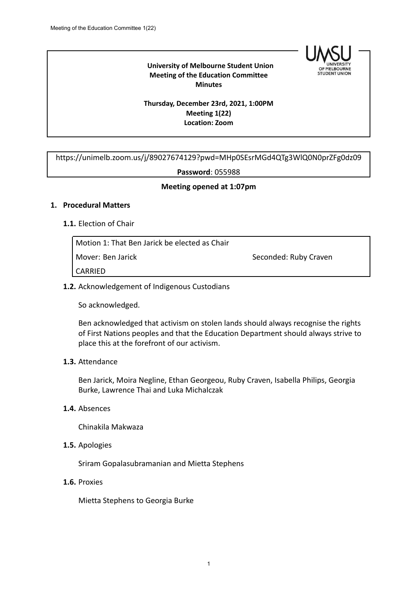

## **University of Melbourne Student Union Meeting of the Education Committee Minutes**

## **Thursday, December 23rd, 2021, 1:00PM Meeting 1(22) Location: Zoom**

https://unimelb.zoom.us/j/89027674129?pwd=MHp0SEsrMGd4QTg3WlQ0N0prZFg0dz09

#### **Password**: 055988

## **Meeting opened at 1:07pm**

### **1. Procedural Matters**

### **1.1.** Election of Chair

| Motion 1: That Ben Jarick be elected as Chair |                       |
|-----------------------------------------------|-----------------------|
| Mover: Ben Jarick                             | Seconded: Ruby Craven |
| <b>CARRIED</b>                                |                       |

### **1.2.** Acknowledgement of Indigenous Custodians

So acknowledged.

Ben acknowledged that activism on stolen lands should always recognise the rights of First Nations peoples and that the Education Department should always strive to place this at the forefront of our activism.

### **1.3.** Attendance

Ben Jarick, Moira Negline, Ethan Georgeou, Ruby Craven, Isabella Philips, Georgia Burke, Lawrence Thai and Luka Michalczak

### **1.4.** Absences

Chinakila Makwaza

**1.5.** Apologies

Sriram Gopalasubramanian and Mietta Stephens

**1.6.** Proxies

Mietta Stephens to Georgia Burke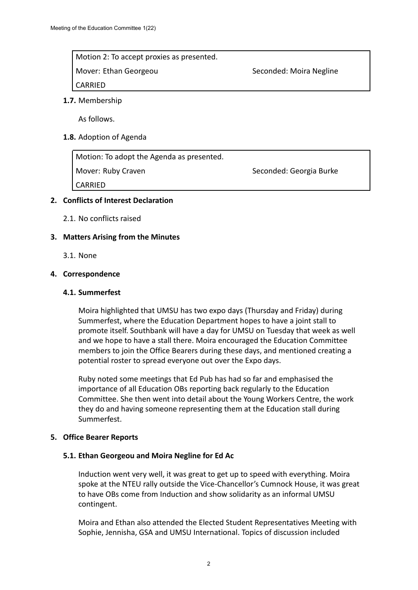Motion 2: To accept proxies as presented. Mover: Ethan Georgeou Seconded: Moira Negline

CARRIED

## **1.7.** Membership

As follows.

## **1.8.** Adoption of Agenda

Motion: To adopt the Agenda as presented. Mover: Ruby Craven Seconded: Georgia Burke

CARRIED

# **2. Conflicts of Interest Declaration**

2.1. No conflicts raised

## **3. Matters Arising from the Minutes**

3.1. None

### **4. Correspondence**

#### **4.1. Summerfest**

Moira highlighted that UMSU has two expo days (Thursday and Friday) during Summerfest, where the Education Department hopes to have a joint stall to promote itself. Southbank will have a day for UMSU on Tuesday that week as well and we hope to have a stall there. Moira encouraged the Education Committee members to join the Office Bearers during these days, and mentioned creating a potential roster to spread everyone out over the Expo days.

Ruby noted some meetings that Ed Pub has had so far and emphasised the importance of all Education OBs reporting back regularly to the Education Committee. She then went into detail about the Young Workers Centre, the work they do and having someone representing them at the Education stall during Summerfest.

### **5. Office Bearer Reports**

### **5.1. Ethan Georgeou and Moira Negline for Ed Ac**

Induction went very well, it was great to get up to speed with everything. Moira spoke at the NTEU rally outside the Vice-Chancellor's Cumnock House, it was great to have OBs come from Induction and show solidarity as an informal UMSU contingent.

Moira and Ethan also attended the Elected Student Representatives Meeting with Sophie, Jennisha, GSA and UMSU International. Topics of discussion included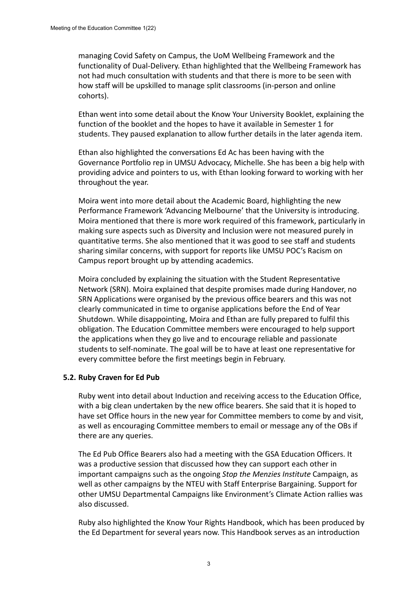managing Covid Safety on Campus, the UoM Wellbeing Framework and the functionality of Dual-Delivery. Ethan highlighted that the Wellbeing Framework has not had much consultation with students and that there is more to be seen with how staff will be upskilled to manage split classrooms (in-person and online cohorts).

Ethan went into some detail about the Know Your University Booklet, explaining the function of the booklet and the hopes to have it available in Semester 1 for students. They paused explanation to allow further details in the later agenda item.

Ethan also highlighted the conversations Ed Ac has been having with the Governance Portfolio rep in UMSU Advocacy, Michelle. She has been a big help with providing advice and pointers to us, with Ethan looking forward to working with her throughout the year.

Moira went into more detail about the Academic Board, highlighting the new Performance Framework 'Advancing Melbourne' that the University is introducing. Moira mentioned that there is more work required of this framework, particularly in making sure aspects such as Diversity and Inclusion were not measured purely in quantitative terms. She also mentioned that it was good to see staff and students sharing similar concerns, with support for reports like UMSU POC's Racism on Campus report brought up by attending academics.

Moira concluded by explaining the situation with the Student Representative Network (SRN). Moira explained that despite promises made during Handover, no SRN Applications were organised by the previous office bearers and this was not clearly communicated in time to organise applications before the End of Year Shutdown. While disappointing, Moira and Ethan are fully prepared to fulfil this obligation. The Education Committee members were encouraged to help support the applications when they go live and to encourage reliable and passionate students to self-nominate. The goal will be to have at least one representative for every committee before the first meetings begin in February.

### **5.2. Ruby Craven for Ed Pub**

Ruby went into detail about Induction and receiving access to the Education Office, with a big clean undertaken by the new office bearers. She said that it is hoped to have set Office hours in the new year for Committee members to come by and visit, as well as encouraging Committee members to email or message any of the OBs if there are any queries.

The Ed Pub Office Bearers also had a meeting with the GSA Education Officers. It was a productive session that discussed how they can support each other in important campaigns such as the ongoing *Stop the Menzies Institute* Campaign, as well as other campaigns by the NTEU with Staff Enterprise Bargaining. Support for other UMSU Departmental Campaigns like Environment's Climate Action rallies was also discussed.

Ruby also highlighted the Know Your Rights Handbook, which has been produced by the Ed Department for several years now. This Handbook serves as an introduction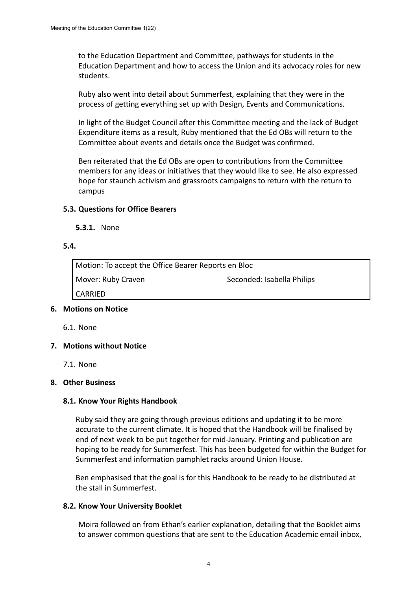to the Education Department and Committee, pathways for students in the Education Department and how to access the Union and its advocacy roles for new students.

Ruby also went into detail about Summerfest, explaining that they were in the process of getting everything set up with Design, Events and Communications.

In light of the Budget Council after this Committee meeting and the lack of Budget Expenditure items as a result, Ruby mentioned that the Ed OBs will return to the Committee about events and details once the Budget was confirmed.

Ben reiterated that the Ed OBs are open to contributions from the Committee members for any ideas or initiatives that they would like to see. He also expressed hope for staunch activism and grassroots campaigns to return with the return to campus

### **5.3. Questions for Office Bearers**

**5.3.1.** None

#### **5.4.**

Motion: To accept the Office Bearer Reports en Bloc Mover: Ruby Craven Seconded: Isabella Philips CARRIED

### **6. Motions on Notice**

6.1. None

### **7. Motions without Notice**

7.1. None

### **8. Other Business**

### **8.1. Know Your Rights Handbook**

Ruby said they are going through previous editions and updating it to be more accurate to the current climate. It is hoped that the Handbook will be finalised by end of next week to be put together for mid-January. Printing and publication are hoping to be ready for Summerfest. This has been budgeted for within the Budget for Summerfest and information pamphlet racks around Union House.

Ben emphasised that the goal is for this Handbook to be ready to be distributed at the stall in Summerfest.

### **8.2. Know Your University Booklet**

Moira followed on from Ethan's earlier explanation, detailing that the Booklet aims to answer common questions that are sent to the Education Academic email inbox,